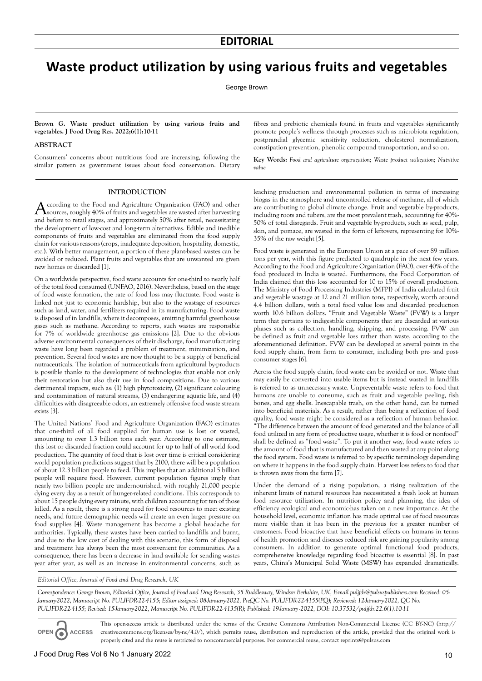## **Waste product utilization by using various fruits and vegetables**

George Brown

**Brown G. Waste product utilization by using various fruits and vegetables. J Food Drug Res. 2022;6(1):10-11**

## **ABSTRACT**

Consumers' concerns about nutritious food are increasing, following the similar pattern as government issues about food conservation. Dietary

fibres and prebiotic chemicals found in fruits and vegetables significantly promote people's wellness through processes such as microbiota regulation, postprandial glycemic sensitivity reduction, cholesterol normalization, constipation prevention, phenolic compound transportation, and so on.

**Key Words:** *Food and agriculture organization; Waste product utilization; Nutritive value*

## **INTRODUCTION**

According to the Food and Agriculture Organization (FAO) and other Sources, roughly 40% of fruits and vegetables are wasted after harvesting and before to retail stages, and approximately 50% after retail, necessitating the development of low-cost and long-term alternatives. Edible and inedible components of fruits and vegetables are eliminated from the food supply chain for various reasons (crops, inadequate deposition, hospitality, domestic, etc.). With better management, a portion of these plant-based wastes can be avoided or reduced. Plant fruits and vegetables that are unwanted are given new homes or discarded [1].

On a worldwide perspective, food waste accounts for one-third to nearly half of the total food consumed (UNFAO, 2016). Nevertheless, based on the stage of food waste formation, the rate of food loss may fluctuate. Food waste is linked not just to economic hardship, but also to the wastage of resources such as land, water, and fertilizers required in its manufacturing. Food waste is disposed of in landfills, where it decomposes, emitting harmful greenhouse gases such as methane. According to reports, such wastes are responsible for 7% of worldwide greenhouse gas emissions [2]. Due to the obvious adverse environmental consequences of their discharge, food manufacturing waste have long been regarded a problem of treatment, minimization, and prevention. Several food wastes are now thought to be a supply of beneficial nutraceuticals. The isolation of nutraceuticals from agricultural by-products is possible thanks to the development of technologies that enable not only their restoration but also their use in food compositions. Due to various detrimental impacts, such as: (1) high phytotoxicity, (2) significant colouring and contamination of natural streams, (3) endangering aquatic life, and (4) difficulties with disagreeable odors, an extremely offensive food waste stream exists [3].

The United Nations' Food and Agriculture Organization (FAO) estimates that one-third of all food supplied for human use is lost or wasted, amounting to over 1.3 billion tons each year. According to one estimate, this lost or discarded fraction could account for up to half of all world food production. The quantity of food that is lost over time is critical considering world population predictions suggest that by 2100, there will be a population of about 12.3 billion people to feed. This implies that an additional 5 billion people will require food. However, current population figures imply that nearly two billion people are undernourished, with roughly 21,000 people dying every day as a result of hunger-related conditions. This corresponds to about 15 people dying every minute, with children accounting for ten of those killed. As a result, there is a strong need for food resources to meet existing needs, and future demographic needs will create an even larger pressure on food supplies [4]. Waste management has become a global headache for authorities. Typically, these wastes have been carried to landfills and burnt, and due to the low cost of dealing with this scenario, this form of disposal and treatment has always been the most convenient for communities. As a consequence, there has been a decrease in land available for sending wastes year after year, as well as an increase in environmental concerns, such as

leaching production and environmental pollution in terms of increasing biogas in the atmosphere and uncontrolled release of methane, all of which are contributing to global climate change. Fruit and vegetable by-products, including roots and tubers, are the most prevalent trash, accounting for 40%- 50% of total disregards. Fruit and vegetable by-products, such as seed, pulp, skin, and pomace, are wasted in the form of leftovers, representing for 10%- 35% of the raw weight [5].

Food waste is generated in the European Union at a pace of over 89 million tons per year, with this figure predicted to quadruple in the next few years. According to the Food and Agriculture Organization (FAO), over 40% of the food produced in India is wasted. Furthermore, the Food Corporation of India claimed that this loss accounted for 10 to 15% of overall production. The Ministry of Food Processing Industries (MFPI) of India calculated fruit and vegetable wastage at 12 and 21 million tons, respectively, worth around 4.4 billion dollars, with a total food value loss and discarded production worth 10.6 billion dollars. "Fruit and Vegetable Waste" (FVW) is a larger term that pertains to indigestible components that are discarded at various phases such as collection, handling, shipping, and processing. FVW can be defined as fruit and vegetable loss rather than waste, according to the aforementioned definition. FVW can be developed at several points in the food supply chain, from farm to consumer, including both pre- and postconsumer stages [6].

Across the food supply chain, food waste can be avoided or not. Waste that may easily be converted into usable items but is instead wasted in landfills is referred to as unnecessary waste. Unpreventable waste refers to food that humans are unable to consume, such as fruit and vegetable peeling, fish bones, and egg shells. Inescapable trash, on the other hand, can be turned into beneficial materials. As a result, rather than being a reflection of food quality, food waste might be considered as a reflection of human behavior. The difference between the amount of food generated and the balance of all food utilized in any form of productive usage, whether it is food or nonfood" shall be defined as "food waste". To put it another way, food waste refers to the amount of food that is manufactured and then wasted at any point along the food system. Food waste is referred to by specific terminology depending on where it happens in the food supply chain. Harvest loss refers to food that is thrown away from the farm [7].

Under the demand of a rising population, a rising realization of the inherent limits of natural resources has necessitated a fresh look at human food resource utilization. In nutrition policy and planning, the idea of efficiency ecological and economic-has taken on a new importance. At the household level, economic inflation has made optimal use of food resources more visible than it has been in the previous for a greater number of customers. Food bioactive that have beneficial effects on humans in terms of health promotion and diseases reduced risk are gaining popularity among consumers. In addition to generate optimal functional food products, comprehensive knowledge regarding food bioactive is essential [8]. In past years, China's Municipal Solid Waste (MSW) has expanded dramatically.

*Editorial Office, Journal of Food and Drug Research, UK*

*Correspondence: George Brown, Editorial Office, Journal of Food and Drug Research, 35 Ruddlesway, Windsor Berkshire, UK, E-mail puljfdr@pulsuspublishers.com Received: 05- January-2022, Manuscript No. PULJFDR-22-4155; Editor assigned: 08-January-2022, PreQC No. PULJFDR-22-4155(PQ); Reviewed: 12-January-2022, QC No. PULJFDR-22-4155; Revised: 15-January-2022, Manuscript No. PULJFDR-22-4135(R); Published: 19-January -2022, DOI: 10.37532/puljfdr.22.6(1).10-11*

**OPEN ACCESS**

This open-access article is distributed under the terms of the Creative Commons Attribution Non-Commercial License (CC BY-NC) (http:// creativecommons.org/licenses/by-nc/4.0/), which permits reuse, distribution and reproduction of the article, provided that the original work is properly cited and the reuse is restricted to noncommercial purposes. For commercial reuse, contact reprints@pulsus.com